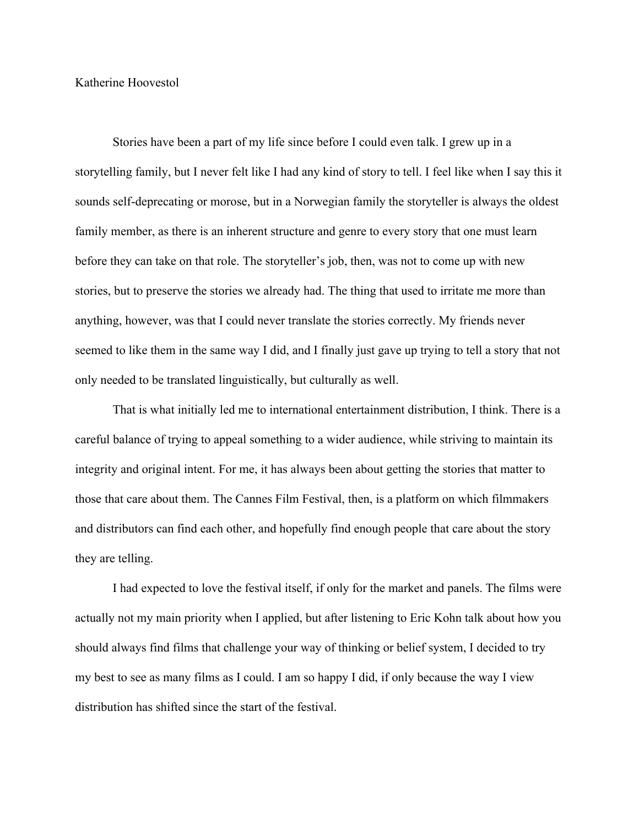Katherine Hoovestol

Stories have been a part of my life since before I could even talk. I grew up in a storytelling family, but I never felt like I had any kind of story to tell. I feel like when I say this it sounds self-deprecating or morose, but in a Norwegian family the storyteller is always the oldest family member, as there is an inherent structure and genre to every story that one must learn before they can take on that role. The storyteller's job, then, was not to come up with new stories, but to preserve the stories we already had. The thing that used to irritate me more than anything, however, was that I could never translate the stories correctly. My friends never seemed to like them in the same way I did, and I finally just gave up trying to tell a story that not only needed to be translated linguistically, but culturally as well.

That is what initially led me to international entertainment distribution, I think. There is a careful balance of trying to appeal something to a wider audience, while striving to maintain its integrity and original intent. For me, it has always been about getting the stories that matter to those that care about them. The Cannes Film Festival, then, is a platform on which filmmakers and distributors can find each other, and hopefully find enough people that care about the story they are telling.

I had expected to love the festival itself, if only for the market and panels. The films were actually not my main priority when I applied, but after listening to Eric Kohn talk about how you should always find films that challenge your way of thinking or belief system, I decided to try my best to see as many films as I could. I am so happy I did, if only because the way I view distribution has shifted since the start of the festival.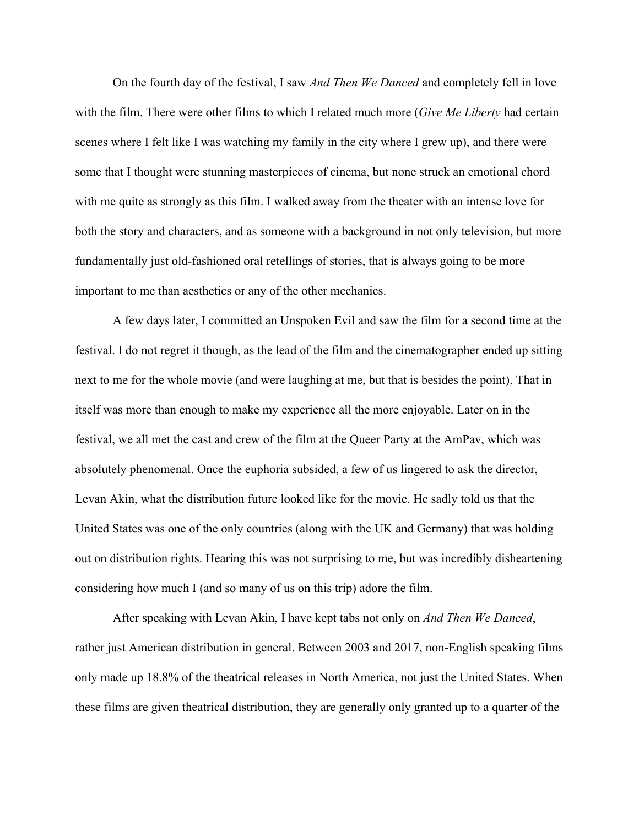On the fourth day of the festival, I saw *And Then We Danced* and completely fell in love with the film. There were other films to which I related much more (*Give Me Liberty* had certain scenes where I felt like I was watching my family in the city where I grew up), and there were some that I thought were stunning masterpieces of cinema, but none struck an emotional chord with me quite as strongly as this film. I walked away from the theater with an intense love for both the story and characters, and as someone with a background in not only television, but more fundamentally just old-fashioned oral retellings of stories, that is always going to be more important to me than aesthetics or any of the other mechanics.

A few days later, I committed an Unspoken Evil and saw the film for a second time at the festival. I do not regret it though, as the lead of the film and the cinematographer ended up sitting next to me for the whole movie (and were laughing at me, but that is besides the point). That in itself was more than enough to make my experience all the more enjoyable. Later on in the festival, we all met the cast and crew of the film at the Queer Party at the AmPav, which was absolutely phenomenal. Once the euphoria subsided, a few of us lingered to ask the director, Levan Akin, what the distribution future looked like for the movie. He sadly told us that the United States was one of the only countries (along with the UK and Germany) that was holding out on distribution rights. Hearing this was not surprising to me, but was incredibly disheartening considering how much I (and so many of us on this trip) adore the film.

After speaking with Levan Akin, I have kept tabs not only on *And Then We Danced*, rather just American distribution in general. Between 2003 and 2017, non-English speaking films only made up 18.8% of the theatrical releases in North America, not just the United States. When these films are given theatrical distribution, they are generally only granted up to a quarter of the